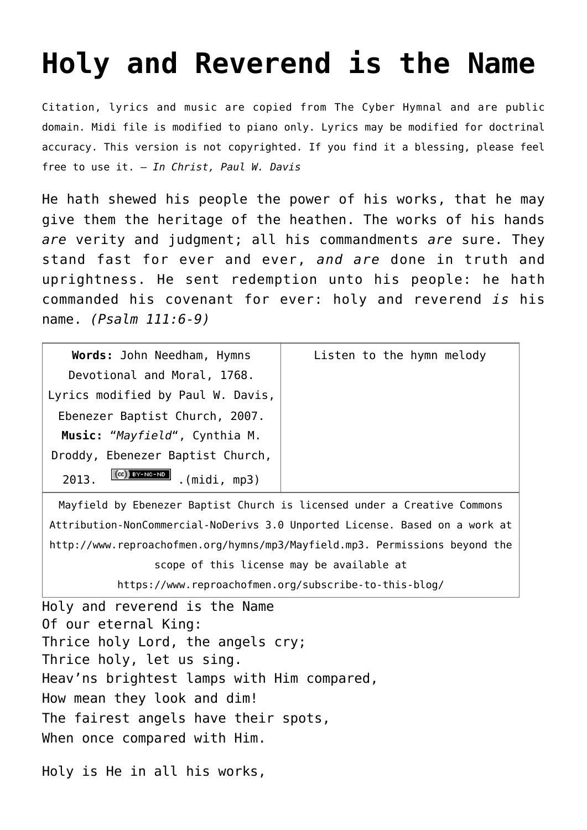## **[Holy and Reverend is the Name](http://reproachofmen.org/hymns-and-music/holy-and-reverend-is-the-name/)**

Citation, lyrics and music are copied from [The Cyber Hymnal](http://www.hymntime.com/tch/index.htm) and are public domain. Midi file is modified to piano only. Lyrics may be modified for doctrinal accuracy. This version is not copyrighted. If you find it a blessing, please feel free to use it. — *In Christ, Paul W. Davis*

He hath shewed his people the power of his works, that he may give them the heritage of the heathen. The works of his hands *are* verity and judgment; all his commandments *are* sure. They stand fast for ever and ever, *and are* done in truth and uprightness. He sent redemption unto his people: he hath commanded his covenant for ever: holy and reverend *is* his name. *(Psalm 111:6-9)*

| Words: John Needham, Hymns              | Listen to the hymn melody |
|-----------------------------------------|---------------------------|
| Devotional and Moral, 1768.             |                           |
| Lyrics modified by Paul W. Davis,       |                           |
| Ebenezer Baptist Church, 2007.          |                           |
| Music: "Mayfield", Cynthia M.           |                           |
| Droddy, Ebenezer Baptist Church,        |                           |
| $(CC)$ BY-NC-ND<br>2013.<br>(midi, mp3) |                           |

Mayfield by [Ebenezer Baptist Church](http://www.ebenezerbaptistkjv.org/) is licensed under a [Creative Commons](http://creativecommons.org/licenses/by-nc-nd/3.0/deed.en_US) [Attribution-NonCommercial-NoDerivs 3.0 Unported License](http://creativecommons.org/licenses/by-nc-nd/3.0/deed.en_US). Based on a work at <http://www.reproachofmen.org/hymns/mp3/Mayfield.mp3>. Permissions beyond the scope of this license may be available at

[https://www.reproachofmen.org/subscribe-to-this-blog/](http://www.reproachofmen.org/subscribe-to-this-blog/)

Holy and reverend is the Name Of our eternal King: Thrice holy Lord, the angels cry; Thrice holy, let us sing. Heav'ns brightest lamps with Him compared, How mean they look and dim! The fairest angels have their spots, When once compared with Him.

Holy is He in all his works,